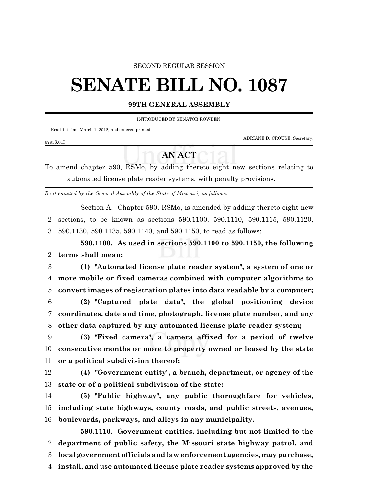## SECOND REGULAR SESSION

## **SENATE BILL NO. 1087**

## **99TH GENERAL ASSEMBLY**

INTRODUCED BY SENATOR ROWDEN.

Read 1st time March 1, 2018, and ordered printed.

ADRIANE D. CROUSE, Secretary.

## **AN ACT**

To amend chapter 590, RSMo, by adding thereto eight new sections relating to automated license plate reader systems, with penalty provisions.

*Be it enacted by the General Assembly of the State of Missouri, as follows:*

Section A. Chapter 590, RSMo, is amended by adding thereto eight new 2 sections, to be known as sections 590.1100, 590.1110, 590.1115, 590.1120, 3 590.1130, 590.1135, 590.1140, and 590.1150, to read as follows:

**590.1100. As used in sections 590.1100 to 590.1150, the following** 2 **terms shall mean:**

3 **(1) "Automated license plate reader system", a system of one or** 4 **more mobile or fixed cameras combined with computer algorithms to** 5 **convert images of registration plates into data readable by a computer;**

6 **(2) "Captured plate data", the global positioning device** 7 **coordinates, date and time, photograph, license plate number, and any** 8 **other data captured by any automated license plate reader system;**

9 **(3) "Fixed camera", a camera affixed for a period of twelve** 10 **consecutive months or more to property owned or leased by the state** 11 **or a political subdivision thereof;**

12 **(4) "Government entity", a branch, department, or agency of the** 13 **state or of a political subdivision of the state;**

14 **(5) "Public highway", any public thoroughfare for vehicles,** 15 **including state highways, county roads, and public streets, avenues,** 16 **boulevards, parkways, and alleys in any municipality.**

**590.1110. Government entities, including but not limited to the department of public safety, the Missouri state highway patrol, and local government officials and law enforcement agencies, may purchase, install, and use automated license plate reader systems approved by the**

6795S.01I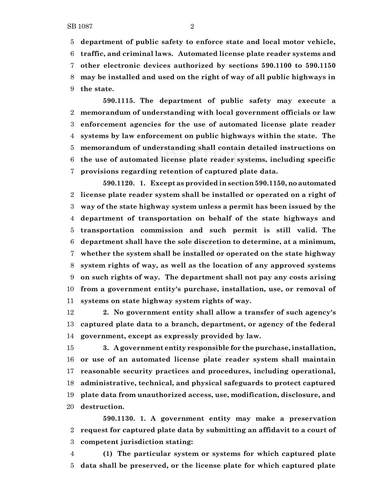**department of public safety to enforce state and local motor vehicle,**

 **traffic, and criminal laws. Automated license plate reader systems and other electronic devices authorized by sections 590.1100 to 590.1150 may be installed and used on the right of way of all public highways in the state.**

**590.1115. The department of public safety may execute a memorandum of understanding with local government officials or law enforcement agencies for the use of automated license plate reader systems by law enforcement on public highways within the state. The memorandum of understanding shall contain detailed instructions on the use of automated license plate reader systems, including specific provisions regarding retention of captured plate data.**

**590.1120. 1. Except as provided in section 590.1150, no automated license plate reader system shall be installed or operated on a right of way of the state highway system unless a permit has been issued by the department of transportation on behalf of the state highways and transportation commission and such permit is still valid. The department shall have the sole discretion to determine, at a minimum, whether the system shall be installed or operated on the state highway system rights of way, as well as the location of any approved systems on such rights of way. The department shall not pay any costs arising from a government entity's purchase, installation, use, or removal of systems on state highway system rights of way.**

 **2. No government entity shall allow a transfer of such agency's captured plate data to a branch, department, or agency of the federal government, except as expressly provided by law.**

 **3. A government entity responsible for the purchase,installation, or use of an automated license plate reader system shall maintain reasonable security practices and procedures, including operational, administrative, technical, and physical safeguards to protect captured plate data from unauthorized access, use, modification, disclosure, and destruction.**

**590.1130. 1. A government entity may make a preservation request for captured plate data by submitting an affidavit to a court of competent jurisdiction stating:**

 **(1) The particular system or systems for which captured plate data shall be preserved, or the license plate for which captured plate**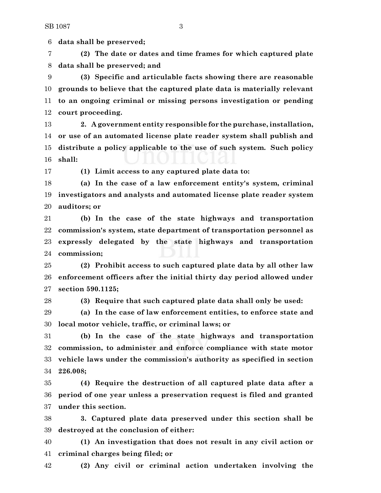**data shall be preserved;**

 **(2) The date or dates and time frames for which captured plate data shall be preserved; and**

 **(3) Specific and articulable facts showing there are reasonable grounds to believe that the captured plate data is materially relevant to an ongoing criminal or missing persons investigation or pending court proceeding.**

 **2. A government entity responsible for the purchase, installation, or use of an automated license plate reader system shall publish and distribute a policy applicable to the use of such system. Such policy shall:**

**(1) Limit access to any captured plate data to:**

 **(a) In the case of a law enforcement entity's system, criminal investigators and analysts and automated license plate reader system auditors; or**

 **(b) In the case of the state highways and transportation commission's system, state department of transportation personnel as expressly delegated by the state highways and transportation commission;**

 **(2) Prohibit access to such captured plate data by all other law enforcement officers after the initial thirty day period allowed under section 590.1125;**

**(3) Require that such captured plate data shall only be used:**

 **(a) In the case of law enforcement entities, to enforce state and local motor vehicle, traffic, or criminal laws; or**

 **(b) In the case of the state highways and transportation commission, to administer and enforce compliance with state motor vehicle laws under the commission's authority as specified in section 226.008;**

 **(4) Require the destruction of all captured plate data after a period of one year unless a preservation request is filed and granted under this section.**

 **3. Captured plate data preserved under this section shall be destroyed at the conclusion of either:**

 **(1) An investigation that does not result in any civil action or criminal charges being filed; or**

**(2) Any civil or criminal action undertaken involving the**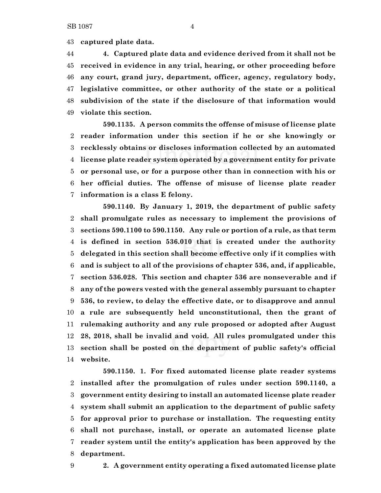**captured plate data.**

 **4. Captured plate data and evidence derived from it shall not be received in evidence in any trial, hearing, or other proceeding before any court, grand jury, department, officer, agency, regulatory body, legislative committee, or other authority of the state or a political subdivision of the state if the disclosure of that information would violate this section.**

**590.1135. A person commits the offense of misuse of license plate reader information under this section if he or she knowingly or recklessly obtains or discloses information collected by an automated license plate reader system operated by a government entity for private or personal use, or for a purpose other than in connection with his or her official duties. The offense of misuse of license plate reader information is a class E felony.**

**590.1140. By January 1, 2019, the department of public safety shall promulgate rules as necessary to implement the provisions of sections 590.1100 to 590.1150. Any rule or portion of a rule, as that term is defined in section 536.010 that is created under the authority delegated in this section shall become effective only if it complies with and is subject to all of the provisions of chapter 536, and, if applicable, section 536.028. This section and chapter 536 are nonseverable and if any of the powers vested with the general assembly pursuant to chapter 536, to review, to delay the effective date, or to disapprove and annul a rule are subsequently held unconstitutional, then the grant of rulemaking authority and any rule proposed or adopted after August 28, 2018, shall be invalid and void. All rules promulgated under this section shall be posted on the department of public safety's official website.**

**590.1150. 1. For fixed automated license plate reader systems installed after the promulgation of rules under section 590.1140, a government entity desiring to install an automated license plate reader system shall submit an application to the department of public safety for approval prior to purchase or installation. The requesting entity shall not purchase, install, or operate an automated license plate reader system until the entity's application has been approved by the department.**

**2. A government entity operating a fixed automated license plate**